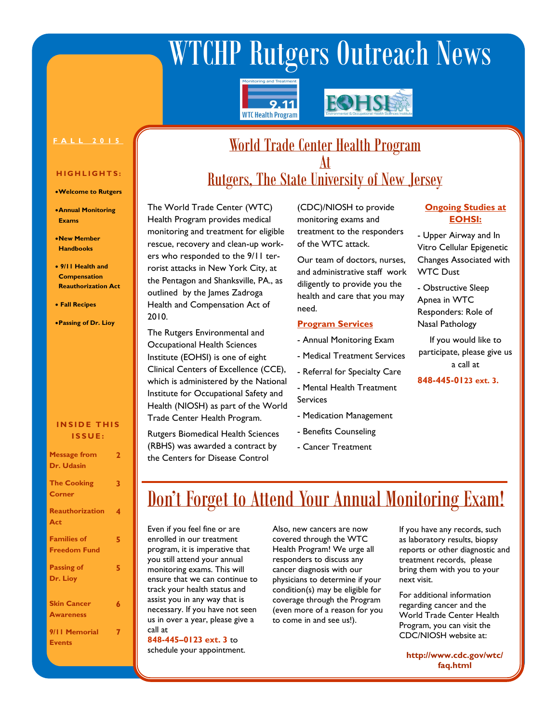# WTCHP Rutgers Outreach News





### **F A L L 2 0 1 5**

### **H I G H L I G H T S :**

- **Welcome to Rutgers**
- **Annual Monitoring Exams**
- **New Member Handbooks**
- **9/11 Health and Compensation Reauthorization Act**
- **Fall Recipes**
- **Passing of Dr. Lioy**

### **INSIDE THIS I S S U E :**

| <b>Message from</b><br>Dr. Udasin         | 2 |
|-------------------------------------------|---|
| <b>The Cooking</b><br><b>Corner</b>       | 3 |
| <b>Reauthorization</b><br>Act             | 4 |
| <b>Families of</b><br><b>Freedom Fund</b> | 5 |
| <b>Passing of</b><br>Dr. Lioy             | 5 |
| <b>Skin Cancer</b><br><b>Awareness</b>    | 6 |
| 9/11 Memorial<br>Events                   |   |

### World Trade Center Health Program At

### Rutgers, The State University of New Jersey

The World Trade Center (WTC) Health Program provides medical monitoring and treatment for eligible rescue, recovery and clean-up workers who responded to the 9/11 terrorist attacks in New York City, at the Pentagon and Shanksville, PA., as outlined by the James Zadroga Health and Compensation Act of 2010.

The Rutgers Environmental and Occupational Health Sciences Institute (EOHSI) is one of eight Clinical Centers of Excellence (CCE), which is administered by the National Institute for Occupational Safety and Health (NIOSH) as part of the World Trade Center Health Program.

Rutgers Biomedical Health Sciences (RBHS) was awarded a contract by the Centers for Disease Control

(CDC)/NIOSH to provide monitoring exams and treatment to the responders of the WTC attack.

Our team of doctors, nurses, and administrative staff work diligently to provide you the health and care that you may need.

### **Program Services**

- Annual Monitoring Exam
- Medical Treatment Services
- Referral for Specialty Care
- Mental Health Treatment Services
- Medication Management
- Benefits Counseling
- Cancer Treatment

### **Ongoing Studies at EOHSI:**

- Upper Airway and In Vitro Cellular Epigenetic Changes Associated with WTC Dust
- Obstructive Sleep Apnea in WTC Responders: Role of Nasal Pathology

If you would like to participate, please give us a call at

**848-445-0123 ext. 3.** 

### Don't Forget to Attend Your Annual Monitoring Exam!

Even if you feel fine or are enrolled in our treatment program, it is imperative that you still attend your annual monitoring exams. This will ensure that we can continue to track your health status and assist you in any way that is necessary. If you have not seen us in over a year, please give a call at

**848-445–0123 ext. 3** to schedule your appointment. Also, new cancers are now covered through the WTC Health Program! We urge all responders to discuss any cancer diagnosis with our physicians to determine if your condition(s) may be eligible for coverage through the Program (even more of a reason for you to come in and see us!).

If you have any records, such as laboratory results, biopsy reports or other diagnostic and treatment records, please bring them with you to your next visit.

For additional information regarding cancer and the World Trade Center Health Program, you can visit the CDC/NIOSH website at:

**http://www.cdc.gov/wtc/ faq.html**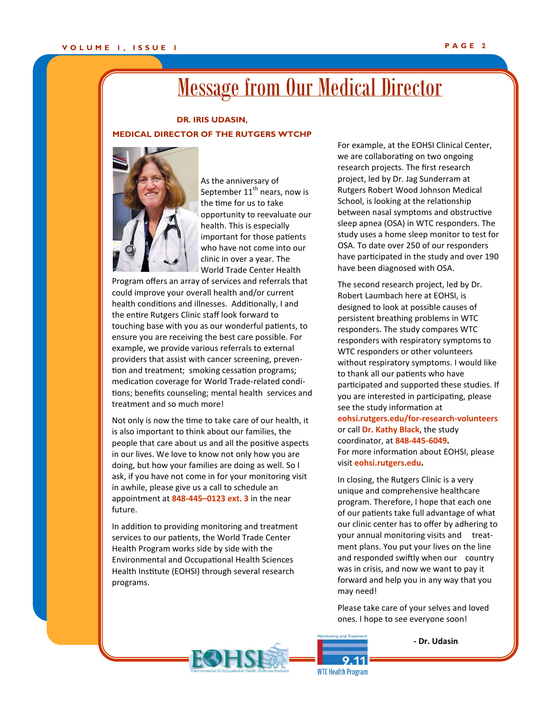### Message from Our Medical Director

### **DR. IRIS UDASIN, MEDICAL DIRECTOR OF THE RUTGERS WTCHP**



As the anniversary of September  $11<sup>th</sup>$  nears, now is the time for us to take opportunity to reevaluate our health. This is especially important for those patients who have not come into our clinic in over a year. The World Trade Center Health

Program offers an array of services and referrals that could improve your overall health and/or current health conditions and illnesses. Additionally, I and the entire Rutgers Clinic staff look forward to touching base with you as our wonderful patients, to ensure you are receiving the best care possible. For example, we provide various referrals to external providers that assist with cancer screening, prevention and treatment; smoking cessation programs; medication coverage for World Trade-related conditions; benefits counseling; mental health services and treatment and so much more!

Not only is now the time to take care of our health, it is also important to think about our families, the people that care about us and all the positive aspects in our lives. We love to know not only how you are doing, but how your families are doing as well. So I ask, if you have not come in for your monitoring visit in awhile, please give us a call to schedule an appointment at **848-445–0123 ext. 3** in the near future.

In addition to providing monitoring and treatment services to our patients, the World Trade Center Health Program works side by side with the Environmental and Occupational Health Sciences Health Institute (EOHSI) through several research programs.

For example, at the EOHSI Clinical Center, we are collaborating on two ongoing research projects. The first research project, led by Dr. Jag Sunderram at Rutgers Robert Wood Johnson Medical School, is looking at the relationship between nasal symptoms and obstructive sleep apnea (OSA) in WTC responders. The study uses a home sleep monitor to test for OSA. To date over 250 of our responders have participated in the study and over 190 have been diagnosed with OSA.

The second research project, led by Dr. Robert Laumbach here at EOHSI, is designed to look at possible causes of persistent breathing problems in WTC responders. The study compares WTC responders with respiratory symptoms to WTC responders or other volunteers without respiratory symptoms. I would like to thank all our patients who have participated and supported these studies. If you are interested in participating, please see the study information at **[eohsi.rutgers.edu/for](http://eohsi.rutgers.edu/for-research-volunteers/)-research-volunteers** or call **Dr. Kathy Black**, the study coordinator, at **848-445-6049.** For more information about EOHSI, please visit **eohsi.rutgers.edu.**

In closing, the Rutgers Clinic is a very unique and comprehensive healthcare program. Therefore, I hope that each one of our patients take full advantage of what our clinic center has to offer by adhering to your annual monitoring visits and treatment plans. You put your lives on the line and responded swiftly when our country was in crisis, and now we want to pay it forward and help you in any way that you may need!

Please take care of your selves and loved ones. I hope to see everyone soon!

**- Dr. Udasin**



 $9.11$ **WTC Health Program**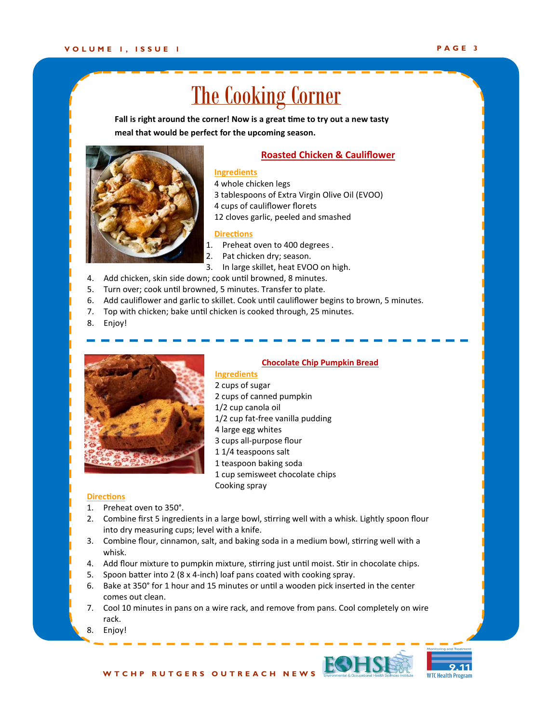## The Cooking Corner

**Fall is right around the corner! Now is a great time to try out a new tasty meal that would be perfect for the upcoming season.** 



### **Roasted Chicken & Cauliflower**

### **Ingredients**

- 4 whole chicken legs
- 3 tablespoons of Extra Virgin Olive Oil (EVOO)
- 4 cups of cauliflower florets
- 12 cloves garlic, peeled and smashed

### **Directions**

- 1. Preheat oven to 400 degrees .
- 2. Pat chicken dry; season.
- 3. In large skillet, heat EVOO on high.
- 4. Add chicken, skin side down; cook until browned, 8 minutes.
- 5. Turn over; cook until browned, 5 minutes. Transfer to plate.
- 6. Add cauliflower and garlic to skillet. Cook until cauliflower begins to brown, 5 minutes.
- 7. Top with chicken; bake until chicken is cooked through, 25 minutes.
- 8. Enjoy!



#### **Chocolate Chip Pumpkin Bread**

### **Ingredients**  2 cups of sugar

- 2 cups of canned pumpkin
- 1/2 cup canola oil
- 1/2 cup fat-free vanilla pudding
- 4 large egg whites
- 3 cups all-purpose flour
- 1 1/4 teaspoons salt
- 1 teaspoon baking soda
- 1 cup semisweet chocolate chips Cooking spray

#### **Directions**

- 1. Preheat oven to 350°.
- 2. Combine first 5 ingredients in a large bowl, stirring well with a whisk. Lightly spoon flour into dry measuring cups; level with a knife.
- 3. Combine flour, cinnamon, salt, and baking soda in a medium bowl, stirring well with a whisk.
- 4. Add flour mixture to pumpkin mixture, stirring just until moist. Stir in chocolate chips.
- 5. Spoon batter into 2 (8 x 4-inch) loaf pans coated with cooking spray.
- 6. Bake at 350° for 1 hour and 15 minutes or until a wooden pick inserted in the center comes out clean.
- 7. Cool 10 minutes in pans on a wire rack, and remove from pans. Cool completely on wire rack.
- 8. Enjoy!





W T C H P R U T G E R S O U T R E A C H N E W S **COH**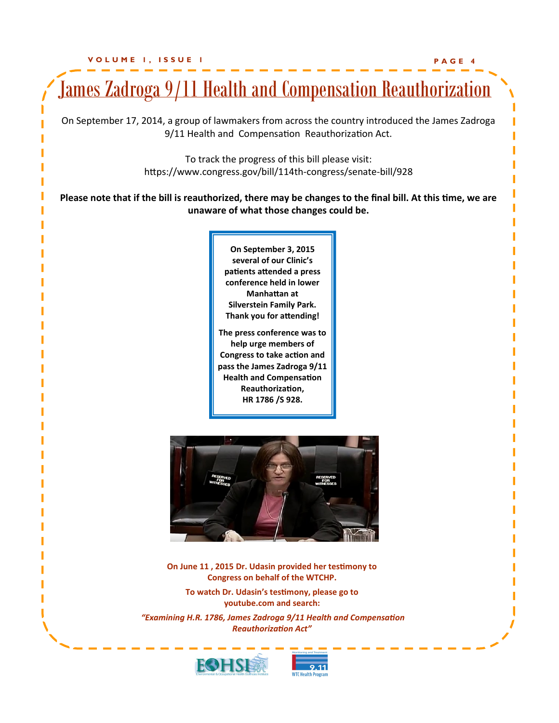

**WTC Hoalth**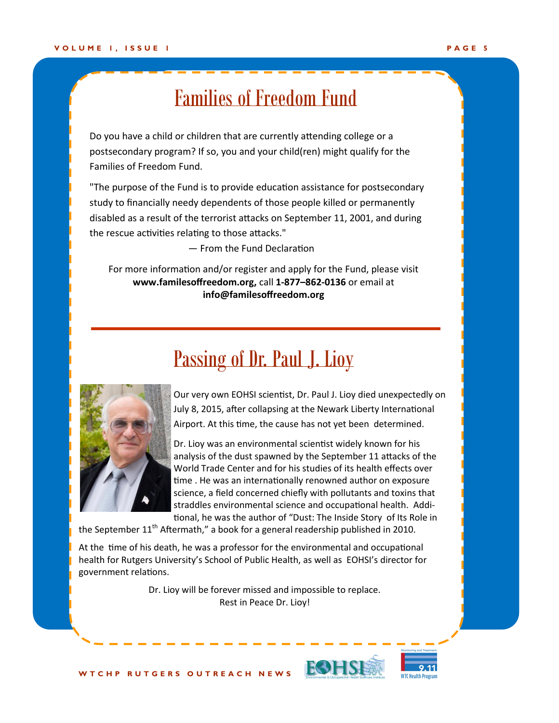### Families of Freedom Fund

Do you have a child or children that are currently attending college or a postsecondary program? If so, you and your child(ren) might qualify for the Families of Freedom Fund.

"The purpose of the Fund is to provide education assistance for postsecondary study to financially needy dependents of those people killed or permanently disabled as a result of the terrorist attacks on September 11, 2001, and during the rescue activities relating to those attacks."

— From the [Fund Declaration](http://www.familiesoffreedom.org/fund_declaration.php)

For more information and/or register and apply for the Fund, please visit **www.familesoffreedom.org,** call **1-877–862-0136** or email at **info@familesoffreedom.org**

### Passing of Dr. Paul J. Lioy



Our very own EOHSI scientist, Dr. Paul J. Lioy died unexpectedly on July 8, 2015, after collapsing at the Newark Liberty International Airport. At this time, the cause has not yet been determined.

Dr. Lioy was an environmental scientist widely known for his analysis of the dust spawned by the September 11 attacks of the World Trade Center and for his studies of its health effects over time . He was an internationally renowned author on exposure science, a field concerned chiefly with pollutants and toxins that straddles environmental science and occupational health. Additional, he was the author of "Dust: The Inside Story of Its Role in

the September  $11<sup>th</sup>$  Aftermath," a book for a general readership published in 2010.

At the time of his death, he was a professor for the environmental and occupational health for Rutgers University's School of Public Health, as well as EOHSI's director for government relations.

> Dr. Lioy will be forever missed and impossible to replace. Rest in Peace Dr. Lioy!



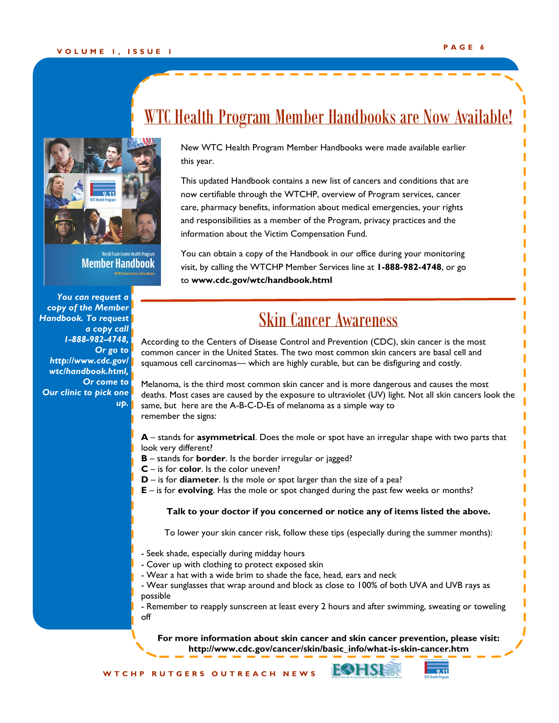

Member Handbook

*You can request a copy of the Member Handbook. To request a copy call 1-888-982-4748, Or go to http://www.cdc.gov/ wtc/handbook.html, Or come to Our clinic to pick one up.* 

### WTC Health Program Member Handbooks are Now Available!

New WTC Health Program Member Handbooks were made available earlier this year.

This updated Handbook contains a new list of cancers and conditions that are now certifiable through the WTCHP, overview of Program services, cancer care, pharmacy benefits, information about medical emergencies, your rights and responsibilities as a member of the Program, privacy practices and the information about the Victim Compensation Fund.

You can obtain a copy of the Handbook in our office during your monitoring visit, by calling the WTCHP Member Services line at **1-888-982-4748**, or go to **www.cdc.gov/wtc/handbook.html**

### Skin Cancer Awareness

According to the Centers of Disease Control and Prevention (CDC), skin cancer is the most common cancer in the United States. The two most common skin cancers are basal cell and squamous cell carcinomas— which are highly curable, but can be disfiguring and costly.

Melanoma, is the third most common skin cancer and is more dangerous and causes the most deaths. Most cases are caused by the exposure to ultraviolet (UV) light. Not all skin cancers look the same, but here are the A-B-C-D-Es of melanoma as a simple way to remember the signs:

**A** – stands for **asymmetrical**. Does the mole or spot have an irregular shape with two parts that look very different?

- **B**  stands for **border**. Is the border irregular or jagged?
- **C** is for **color**. Is the color uneven?
- **D** is for **diameter**. Is the mole or spot larger than the size of a pea?
- **E** is for **evolving**. Has the mole or spot changed during the past few weeks or months?

### **Talk to your doctor if you concerned or notice any of items listed the above.**

To lower your skin cancer risk, follow these tips (especially during the summer months):

- Seek shade, especially during midday hours
- Cover up with clothing to protect exposed skin
- Wear a hat with a wide brim to shade the face, head, ears and neck
- Wear sunglasses that wrap around and block as close to 100% of both UVA and UVB rays as possible

- Remember to reapply sunscreen at least every 2 hours and after swimming, sweating or toweling off

**For more information about skin cancer and skin cancer prevention, please visit: http://www.cdc.gov/cancer/skin/basic\_info/what-is-skin-cancer.htm**

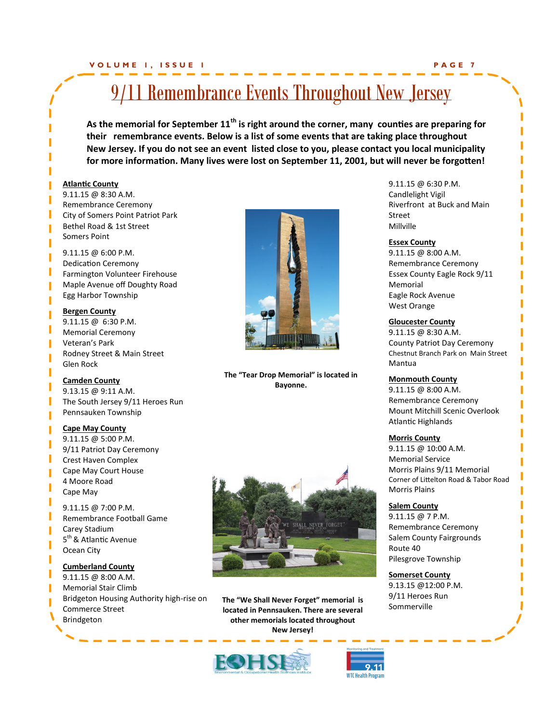### **V O L U M E 1 , I S S U E 1 P A G E 7**

### 9/11 Remembrance Events Throughout New Jersey

**As the memorial for September 11th is right around the corner, many counties are preparing for their remembrance events. Below is a list of some events that are taking place throughout New Jersey. If you do not see an event listed close to you, please contact you local municipality for more information. Many lives were lost on September 11, 2001, but will never be forgotten!**

#### **Atlantic County**

9.11.15 @ 8:30 A.M. Remembrance Ceremony City of Somers Point Patriot Park Bethel Road & 1st Street Somers Point

9.11.15 @ 6:00 P.M. Dedication Ceremony Farmington Volunteer Firehouse Maple Avenue off Doughty Road Egg Harbor Township

**Bergen County** 9.11.15 @ 6:30 P.M. Memorial Ceremony Veteran's Park Rodney Street & Main Street Glen Rock

**Camden County**  9.13.15 @ 9:11 A.M. The South Jersey 9/11 Heroes Run Pennsauken Township

#### **Cape May County**

9.11.15 @ 5:00 P.M. 9/11 Patriot Day Ceremony Crest Haven Complex Cape May Court House 4 Moore Road Cape May

9.11.15 @ 7:00 P.M. Remembrance Football Game Carey Stadium 5<sup>th</sup> & Atlantic Avenue Ocean City

**Cumberland County** 9.11.15 @ 8:00 A.M. Memorial Stair Climb Bridgeton Housing Authority high-rise on Commerce Street Brindgeton



**The "Tear Drop Memorial" is located in Bayonne.**



**The "We Shall Never Forget" memorial is located in Pennsauken. There are several other memorials located throughout New Jersey!**





9.11.15 @ 6:30 P.M. Candlelight Vigil Riverfront at Buck and Main Street Millville

#### **Essex County**

9.11.15 @ 8:00 A.M. Remembrance Ceremony Essex County Eagle Rock 9/11 Memorial Eagle Rock Avenue West Orange

#### **Gloucester County**

9.11.15 @ 8:30 A.M. County Patriot Day Ceremony Chestnut Branch Park on Main Street Mantua

#### **Monmouth County**

9.11.15 @ 8:00 A.M. Remembrance Ceremony Mount Mitchill Scenic Overlook Atlantic Highlands

#### **Morris County**

9.11.15 @ 10:00 A.M. Memorial Service Morris Plains 9/11 Memorial Corner of Littelton Road & Tabor Road Morris Plains

### **Salem County**

9.11.15 @ 7 P.M. Remembrance Ceremony Salem County Fairgrounds Route 40 Pilesgrove Township

**Somerset County** 9.13.15 @12:00 P.M. 9/11 Heroes Run Sommerville